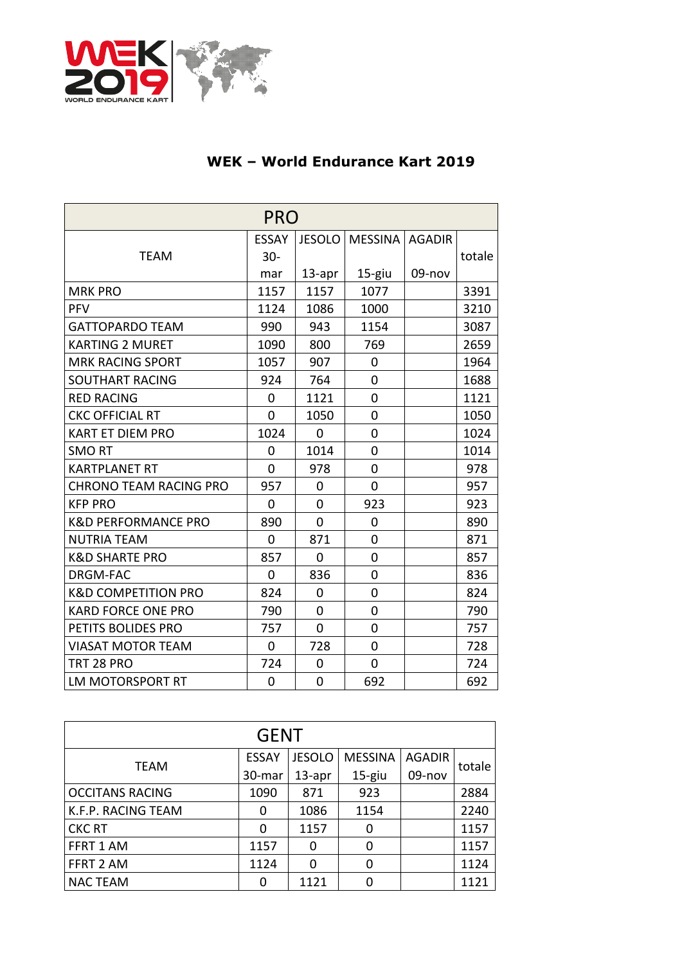

## **WEK – World Endurance Kart 2019**

| <b>PRO</b>                     |                |                |                  |        |        |  |  |
|--------------------------------|----------------|----------------|------------------|--------|--------|--|--|
|                                | <b>ESSAY</b>   | <b>JESOLO</b>  | MESSINA   AGADIR |        |        |  |  |
| <b>TEAM</b>                    | $30 -$         |                |                  |        | totale |  |  |
|                                | mar            | $13$ -apr      | 15-giu           | 09-nov |        |  |  |
| <b>MRK PRO</b>                 | 1157           | 1157           | 1077             |        | 3391   |  |  |
| <b>PFV</b>                     | 1124           | 1086           | 1000             |        | 3210   |  |  |
| <b>GATTOPARDO TEAM</b>         | 990            | 943            | 1154             |        | 3087   |  |  |
| <b>KARTING 2 MURET</b>         | 1090           | 800            | 769              |        | 2659   |  |  |
| <b>MRK RACING SPORT</b>        | 1057           | 907            | 0                |        | 1964   |  |  |
| <b>SOUTHART RACING</b>         | 924            | 764            | 0                |        | 1688   |  |  |
| <b>RED RACING</b>              | 0              | 1121           | 0                |        | 1121   |  |  |
| <b>CKC OFFICIAL RT</b>         | 0              | 1050           | 0                |        | 1050   |  |  |
| <b>KART ET DIEM PRO</b>        | 1024           | 0              | 0                |        | 1024   |  |  |
| <b>SMORT</b>                   | 0              | 1014           | 0                |        | 1014   |  |  |
| <b>KARTPLANET RT</b>           | 0              | 978            | 0                |        | 978    |  |  |
| <b>CHRONO TEAM RACING PRO</b>  | 957            | $\overline{0}$ | $\overline{0}$   |        | 957    |  |  |
| <b>KFP PRO</b>                 | 0              | 0              | 923              |        | 923    |  |  |
| <b>K&amp;D PERFORMANCE PRO</b> | 890            | $\overline{0}$ | 0                |        | 890    |  |  |
| <b>NUTRIA TEAM</b>             | $\overline{0}$ | 871            | 0                |        | 871    |  |  |
| <b>K&amp;D SHARTE PRO</b>      | 857            | 0              | $\overline{0}$   |        | 857    |  |  |
| <b>DRGM-FAC</b>                | $\overline{0}$ | 836            | 0                |        | 836    |  |  |
| <b>K&amp;D COMPETITION PRO</b> | 824            | 0              | 0                |        | 824    |  |  |
| <b>KARD FORCE ONE PRO</b>      | 790            | 0              | $\overline{0}$   |        | 790    |  |  |
| PETITS BOLIDES PRO             | 757            | $\overline{0}$ | 0                |        | 757    |  |  |
| <b>VIASAT MOTOR TEAM</b>       | 0              | 728            | $\overline{0}$   |        | 728    |  |  |
| TRT 28 PRO                     | 724            | 0              | $\overline{0}$   |        | 724    |  |  |
| <b>LM MOTORSPORT RT</b>        | $\overline{0}$ | 0              | 692              |        | 692    |  |  |

| <b>GENT</b>            |              |               |                |               |        |  |  |  |
|------------------------|--------------|---------------|----------------|---------------|--------|--|--|--|
| <b>TEAM</b>            | <b>ESSAY</b> | <b>JESOLO</b> | <b>MESSINA</b> | <b>AGADIR</b> | totale |  |  |  |
|                        | 30-mar       | $13$ -apr     | $15$ -giu      | 09-nov        |        |  |  |  |
| <b>OCCITANS RACING</b> | 1090         | 871           | 923            |               | 2884   |  |  |  |
| K.F.P. RACING TEAM     | 0            | 1086          | 1154           |               | 2240   |  |  |  |
| <b>CKC RT</b>          | 0            | 1157          |                |               | 1157   |  |  |  |
| FFRT 1 AM              | 1157         | 0             | 0              |               | 1157   |  |  |  |
| FFRT 2 AM              | 1124         | U             |                |               | 1124   |  |  |  |
| <b>NAC TEAM</b>        | ŋ            | 1121          |                |               | 1121   |  |  |  |